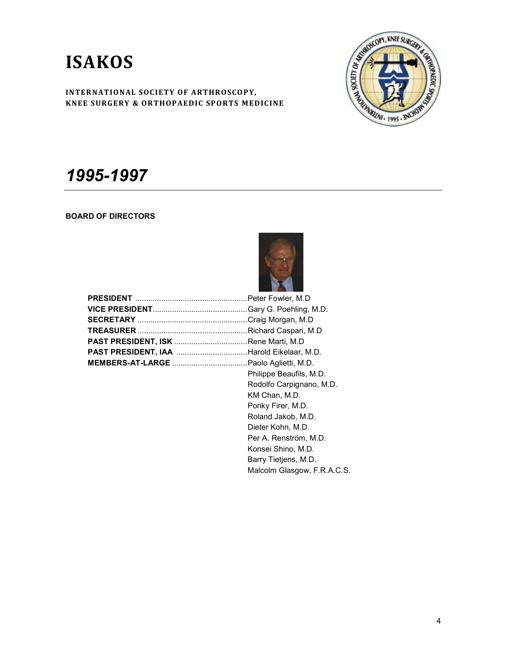# ISAKOS



## 1995-1997

### BOARD OF DIRECTORS



| Philippe Beaufils, M.D. |
|-------------------------|

 Rodolfo Carpignano, M.D. KM Chan, M.D. Ponky Firer, M.D. Roland Jakob, M.D. Dieter Kohn, M.D. Per A. Renström, M.D. Konsei Shino, M.D. Barry Tietjens, M.D. Malcolm Glasgow, F.R.A.C.S.